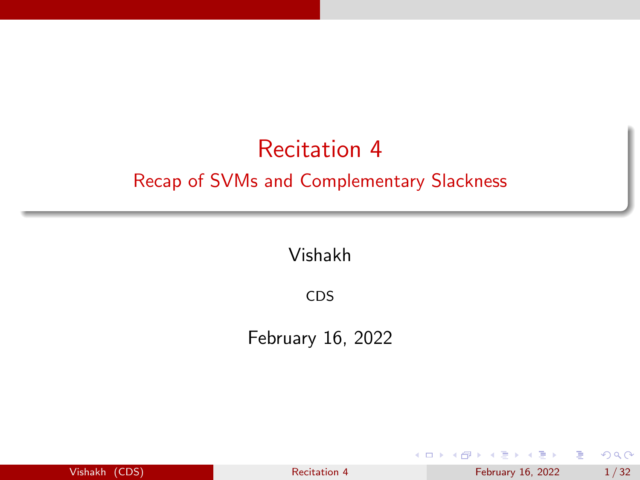## <span id="page-0-0"></span>Recitation 4 Recap of SVMs and Complementary Slackness

Vishakh

CDS

February 16, 2022

| Vishakh |  | (CDS) |
|---------|--|-------|
|         |  |       |
|         |  |       |

医毛囊 医牙足囊炎 [Recitation 4](#page-31-0) February 16, 2022 1/32

**← ロ → → ← 何 →** 

э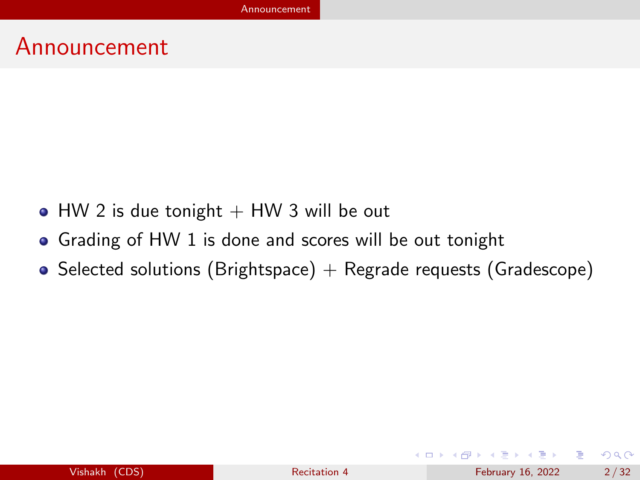#### <span id="page-1-0"></span>Announcement

- $\bullet$  HW 2 is due tonight  $+$  HW 3 will be out
- Grading of HW 1 is done and scores will be out tonight
- Selected solutions (Brightspace) + Regrade requests (Gradescope)

イロト イ母 トイヨ トイヨ トー

э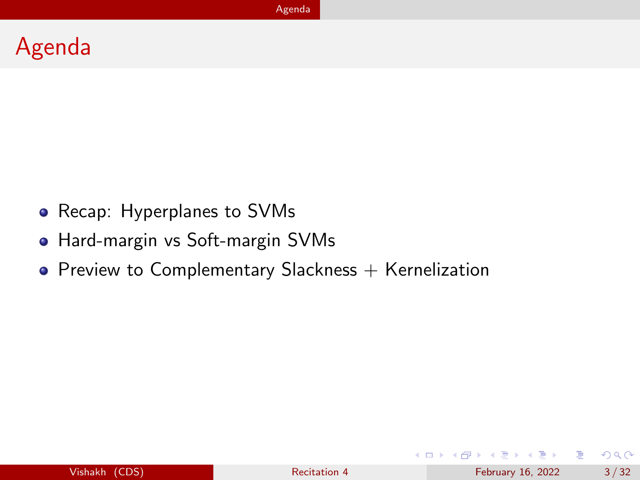#### <span id="page-2-0"></span>Agenda

- Recap: Hyperplanes to SVMs
- Hard-margin vs Soft-margin SVMs
- $\bullet$  Preview to Complementary Slackness  $+$  Kernelization

 $QQ$ 

э

 $\mathbf{A} = \mathbf{A} + \mathbf{A} + \mathbf{B} + \mathbf{A} + \mathbf{B} + \mathbf{A}$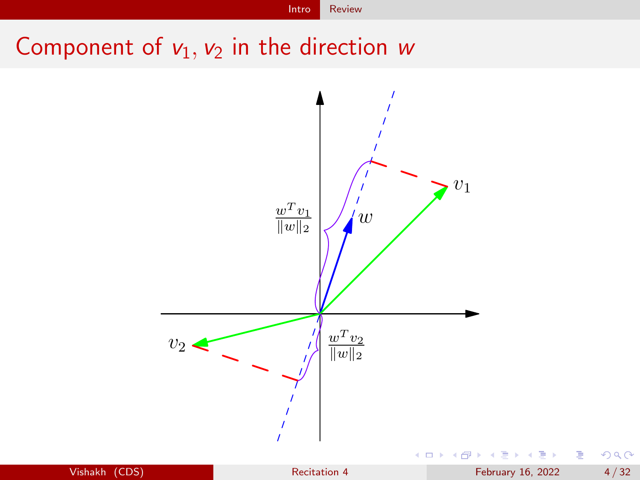[Intro](#page-3-0) [Review](#page-3-0)

## <span id="page-3-0"></span>Component of  $v_1$ ,  $v_2$  in the direction w

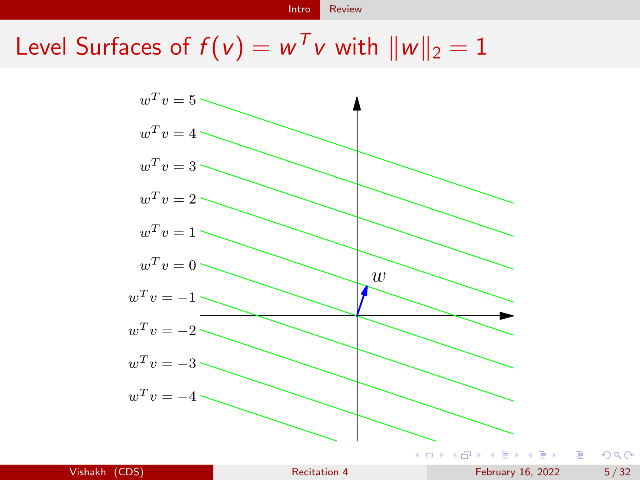Level Surfaces of  $f(v) = w<sup>T</sup>v$  with  $||w||_2 = 1$ 

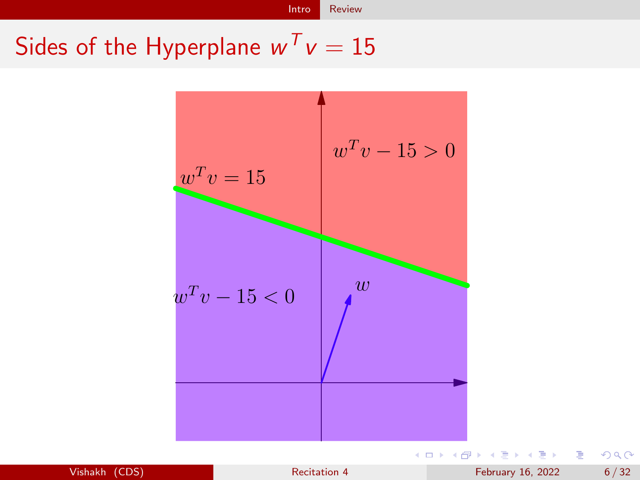# Sides of the Hyperplane  $w^T v = 15$



Vishakh (CDS) [Recitation 4](#page-0-0) Recitation 4 February 16, 2022 6/32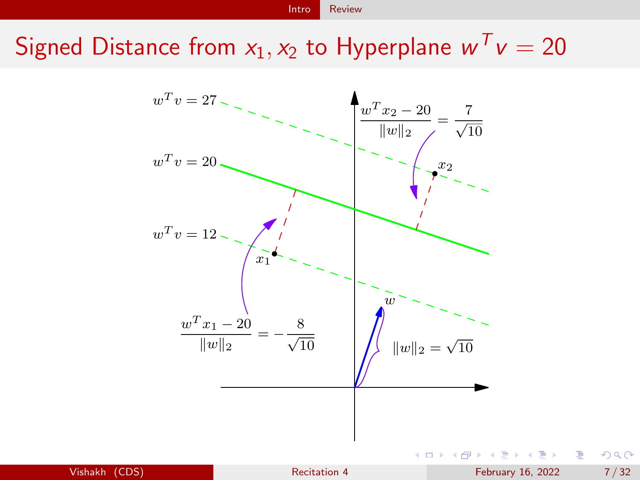Signed Distance from  $x_1, x_2$  to Hyperplane  $w^T v = 20$ 

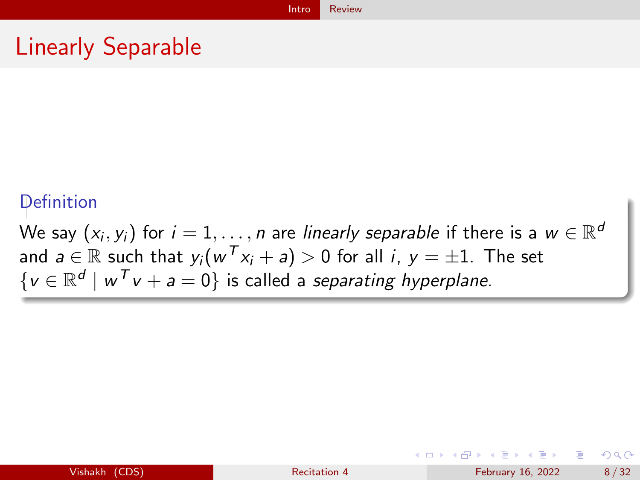# Linearly Separable

#### **Definition**

We say  $(x_i, y_i)$  for  $i = 1, ..., n$  are linearly separable if there is a  $w \in \mathbb{R}^d$ and  $a \in \mathbb{R}$  such that  $y_i(w^Tx_i + a) > 0$  for all  $i, y = \pm 1$ . The set  $\{v \in \mathbb{R}^d \mid w^T v + a = 0\}$  is called a separating hyperplane.

イロト イ押 トイヨ トイヨ トー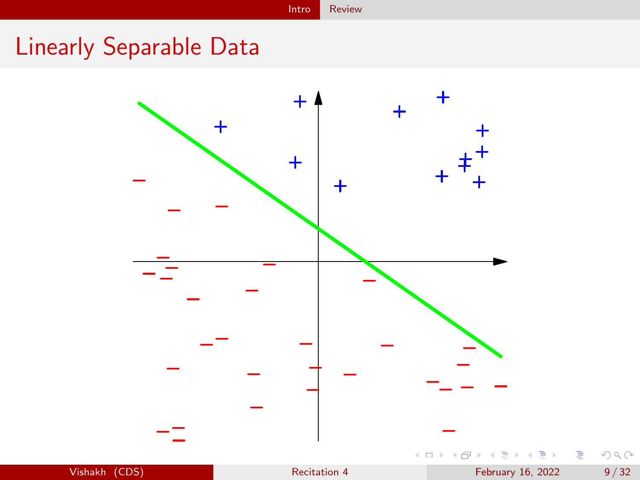# Linearly Separable Data

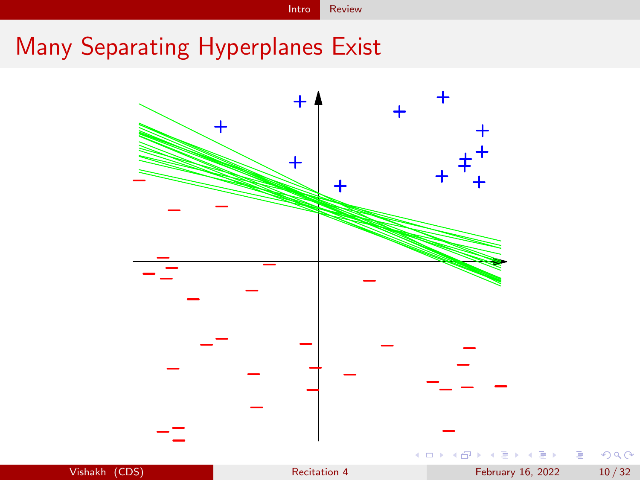#### [Intro](#page-3-0) [Review](#page-3-0)

# Many Separating Hyperplanes Exist

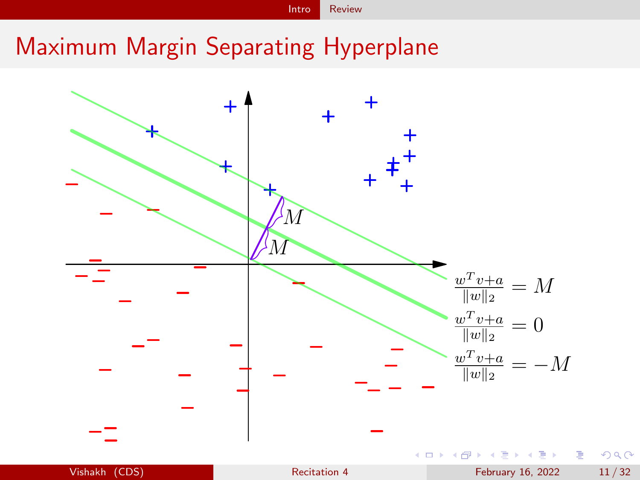[Intro](#page-3-0) [Review](#page-3-0)

## Maximum Margin Separating Hyperplane

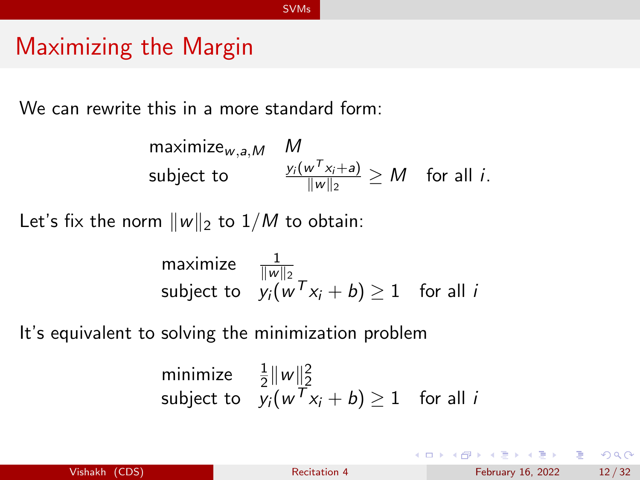#### <span id="page-11-0"></span>Maximizing the Margin

We can rewrite this in a more standard form:

$$
\begin{array}{ll}\text{maximize}_{w,a,M} & M\\ \text{subject to} & \frac{y_i(w^T x_i + a)}{\|w\|_2} \geq M \quad \text{for all } i. \end{array}
$$

Let's fix the norm  $||w||_2$  to  $1/M$  to obtain:

maximize 
$$
\frac{1}{\|w\|_2}
$$
  
subject to  $y_i(w^Tx_i + b) \ge 1$  for all *i*

It's equivalent to solving the minimization problem

minimize 
$$
\frac{1}{2} ||w||_2^2
$$
  
subject to  $y_i(w^Tx_i + b) \ge 1$  for all *i*

目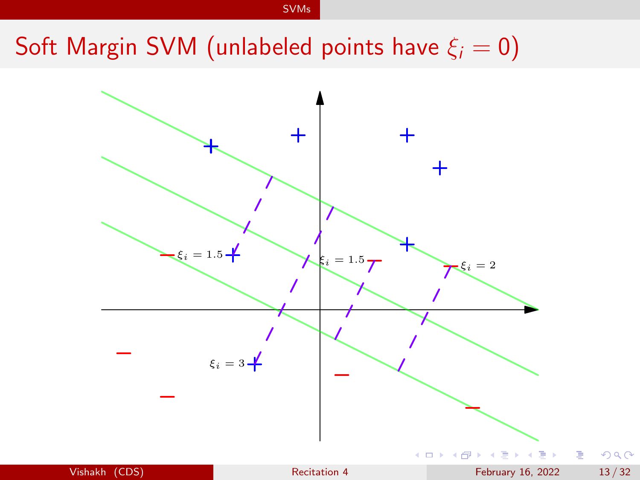# Soft Margin SVM (unlabeled points have  $\xi_i = 0$ )

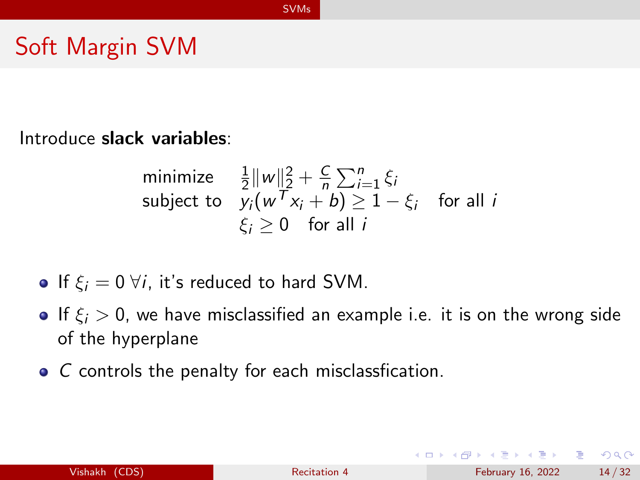#### Soft Margin SVM

Introduce slack variables:

minimize 
$$
\frac{1}{2} ||w||_2^2 + \frac{C}{n} \sum_{i=1}^n \xi_i
$$
  
subject to  $y_i(w^Tx_i + b) \ge 1 - \xi_i$  for all  $i$   
 $\xi_i \ge 0$  for all  $i$ 

- If  $\xi_i = 0 \forall i$ , it's reduced to hard SVM.
- If  $\xi_i > 0$ , we have misclassified an example i.e. it is on the wrong side of the hyperplane
- C controls the penalty for each misclassfication.

G.  $\Omega$ 

イロト イ押 トイヨ トイヨ トー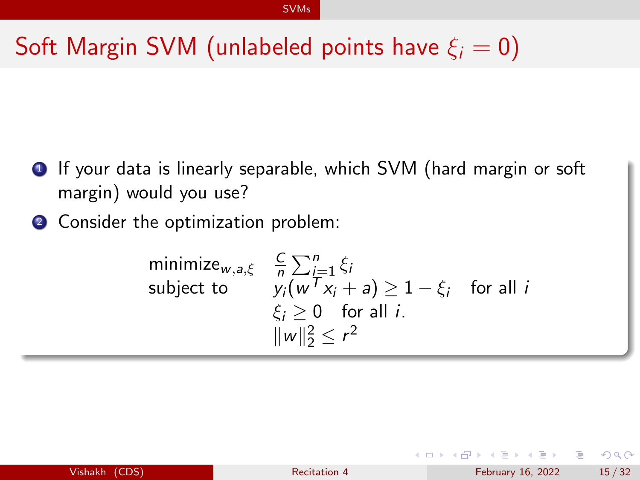# Soft Margin SVM (unlabeled points have  $\xi_i = 0$ )

- **1** If your data is linearly separable, which SVM (hard margin or soft margin) would you use?
- 2 Consider the optimization problem:

minimize<sub>w,a,\xi</sub> 
$$
\frac{C}{n} \sum_{i=1}^{n} \xi_i
$$
  
subject to  $y_i(w^T x_i + a) \ge 1 - \xi_i$  for all  $i$   
 $\xi_i \ge 0$  for all  $i$ .  
 $||w||_2^2 \le r^2$ 

| Vishakh (CDS) |  |  |
|---------------|--|--|
|               |  |  |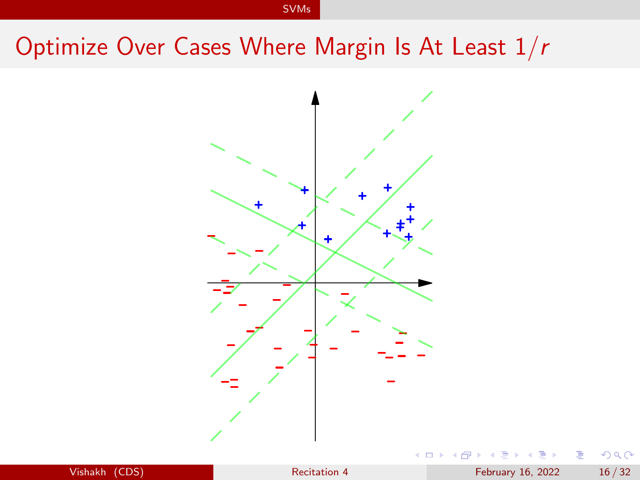## Optimize Over Cases Where Margin Is At Least 1/r



| Vishakh |  | (CDS) |
|---------|--|-------|
|         |  |       |

Э× э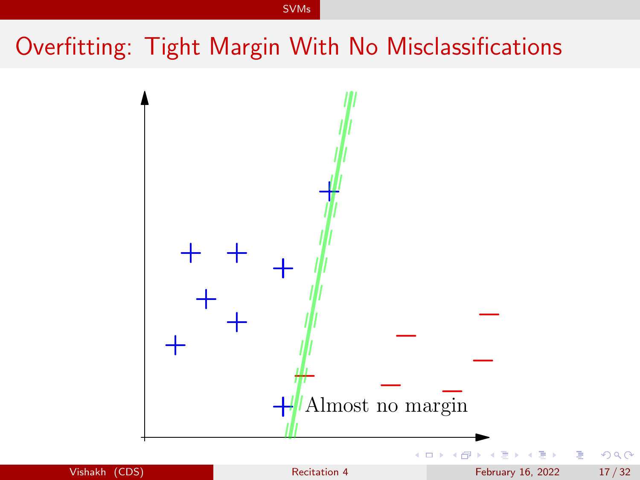# Overfitting: Tight Margin With No Misclassifications

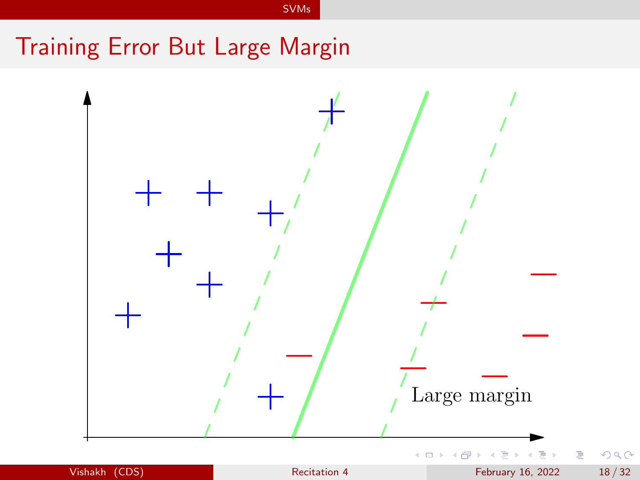# Training Error But Large Margin

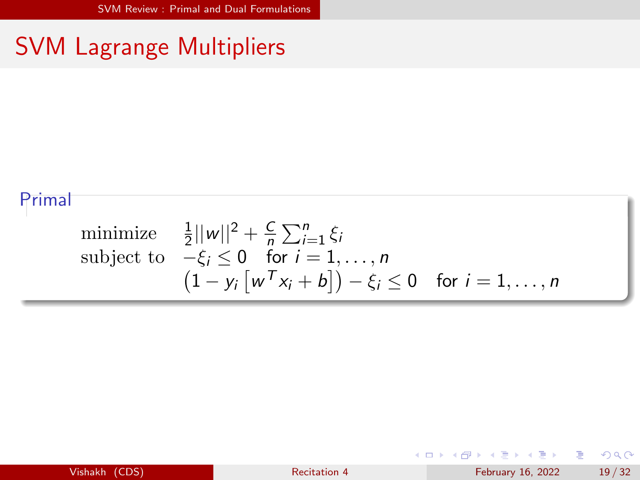# <span id="page-18-0"></span>SVM Lagrange Multipliers

#### Primal

minimize 
$$
\frac{1}{2}||w||^2 + \frac{C}{n}\sum_{i=1}^n \xi_i
$$
  
subject to  $-\xi_i \le 0$  for  $i = 1, ..., n$   

$$
(1 - y_i[w^T x_i + b]) - \xi_i \le 0
$$
 for  $i = 1, ..., n$ 

| Vishakh (CDS) |  |  |
|---------------|--|--|
|               |  |  |

重

 $299$ 

 $4$  ロ }  $4$   $\overline{m}$  }  $4$   $\overline{m}$  }  $4$   $\overline{m}$  }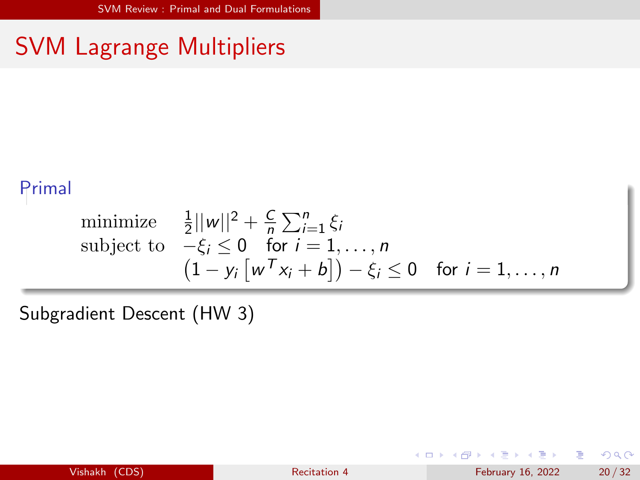# SVM Lagrange Multipliers

#### Primal

minimize 
$$
\frac{1}{2}||w||^2 + \frac{C}{n}\sum_{i=1}^{n}\xi_i
$$
  
subject to  $-\xi_i \le 0$  for  $i = 1, ..., n$   
 $(1 - y_i[w^Tx_i + b]) - \xi_i \le 0$  for  $i = 1, ..., n$ 

Subgradient Descent (HW 3)

**← ロ → → ← 何 →** 

重

 $299$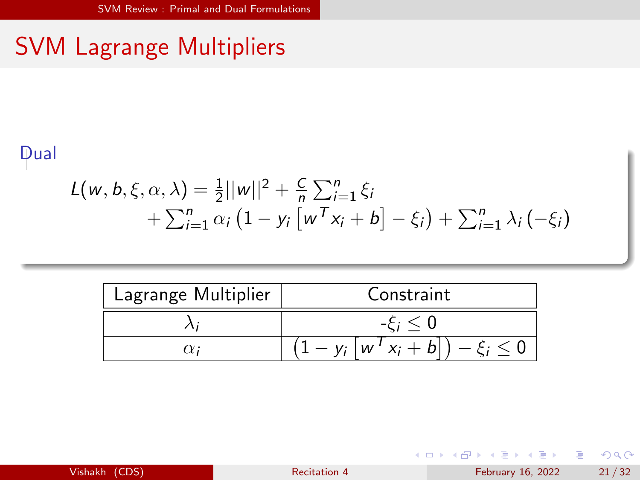# SVM Lagrange Multipliers

#### Dual

$$
L(w, b, \xi, \alpha, \lambda) = \frac{1}{2} ||w||^2 + \frac{C}{n} \sum_{i=1}^n \xi_i
$$
  
+ 
$$
\sum_{i=1}^n \alpha_i (1 - y_i [w^T x_i + b] - \xi_i) + \sum_{i=1}^n \lambda_i (-\xi_i)
$$

| Lagrange Multiplier | Constraint                       |
|---------------------|----------------------------------|
|                     |                                  |
| $\alpha$            | $-y_i \mid w' \mid x_i + b \mid$ |

| Vishakh (CDS) |  |  |
|---------------|--|--|
|               |  |  |
|               |  |  |
|               |  |  |
|               |  |  |

重

 $299$ 

K ロト K 御 ト K 君 ト K 君 K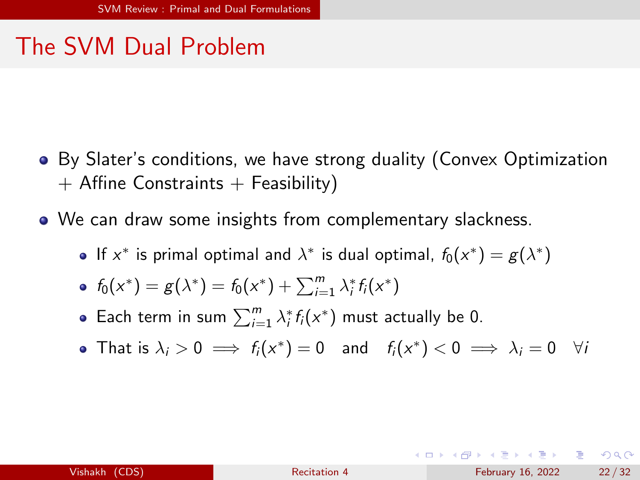- By Slater's conditions, we have strong duality (Convex Optimization  $+$  Affine Constraints  $+$  Feasibility)
- We can draw some insights from complementary slackness.
	- If  $x^*$  is primal optimal and  $\lambda^*$  is dual optimal,  $f_0(x^*) = g(\lambda^*)$
	- $f_0(x^*) = g(\lambda^*) = f_0(x^*) + \sum_{i=1}^m \lambda_i^* f_i(x^*)$
	- Each term in sum  $\sum_{i=1}^{m} \lambda_i^* f_i(x^*)$  must actually be 0.
	- That is  $\lambda_i > 0 \implies f_i(x^*) = 0$  and  $f_i(x^*) < 0 \implies \lambda_i = 0$   $\forall i$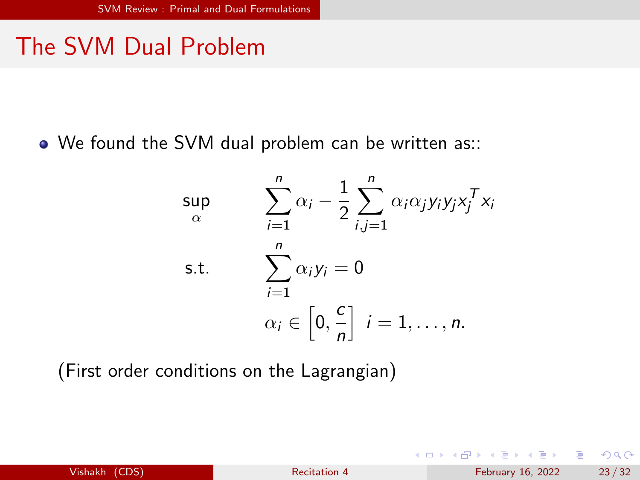We found the SVM dual problem can be written as::

$$
\sup_{\alpha} \qquad \sum_{i=1}^{n} \alpha_i - \frac{1}{2} \sum_{i,j=1}^{n} \alpha_i \alpha_j y_i y_j x_j^T x_i
$$
\n
$$
\text{s.t.} \qquad \sum_{i=1}^{n} \alpha_i y_i = 0
$$
\n
$$
\alpha_i \in \left[0, \frac{c}{n}\right] \quad i = 1, \dots, n.
$$

(First order conditions on the Lagrangian)

| Vishakh (CDS) |  |
|---------------|--|
|               |  |

4 ロ ▶ (母

 $299$ 

э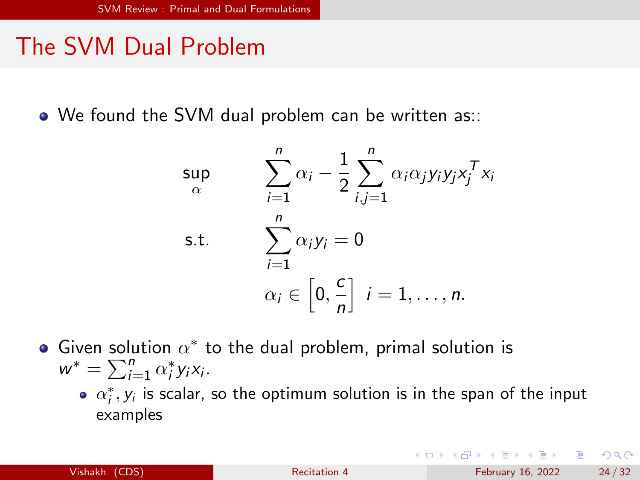• We found the SVM dual problem can be written as::

$$
\sup_{\alpha} \qquad \sum_{i=1}^{n} \alpha_i - \frac{1}{2} \sum_{i,j=1}^{n} \alpha_i \alpha_j y_i y_j x_j^T x_i
$$
\n
$$
\text{s.t.} \qquad \sum_{i=1}^{n} \alpha_i y_i = 0
$$
\n
$$
\alpha_i \in \left[0, \frac{c}{n}\right] \quad i = 1, \dots, n.
$$

- Given solution  $\alpha^*$  to the dual problem, primal solution is  $w^* = \sum_{i=1}^n \alpha_i^* y_i x_i.$ 
	- $\alpha_i^*,y_i$  is scalar, so the optimum solution is in the span of the input examples

G.  $\Omega$ 

イロト イ母 トイヨ トイヨ トー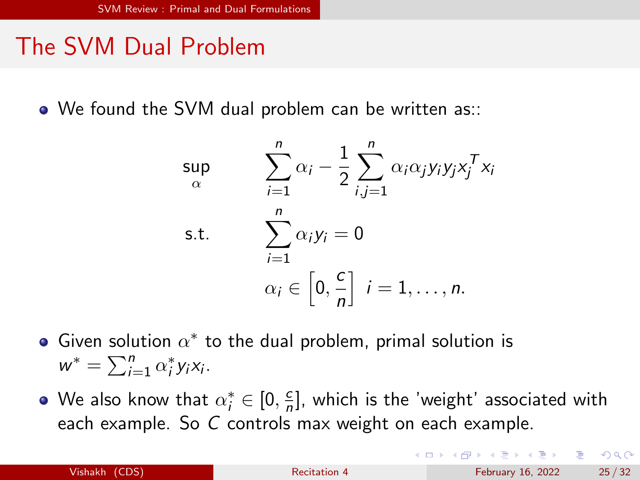• We found the SVM dual problem can be written as::

$$
\sup_{\alpha} \qquad \sum_{i=1}^{n} \alpha_i - \frac{1}{2} \sum_{i,j=1}^{n} \alpha_i \alpha_j y_i y_j x_j^T x_i
$$
\n
$$
\text{s.t.} \qquad \sum_{i=1}^{n} \alpha_i y_i = 0
$$
\n
$$
\alpha_i \in \left[0, \frac{c}{n}\right] \quad i = 1, \dots, n.
$$

Given solution  $\alpha^*$  to the dual problem, primal solution is  $w^* = \sum_{i=1}^n \alpha_i^* y_i x_i.$ 

We also know that  $\alpha_i^* \in [0, \frac{c}{n}]$  $\frac{c}{n}$ ], which is the 'weight' associated with each example. So C controls max weight on each example.

 $\Omega$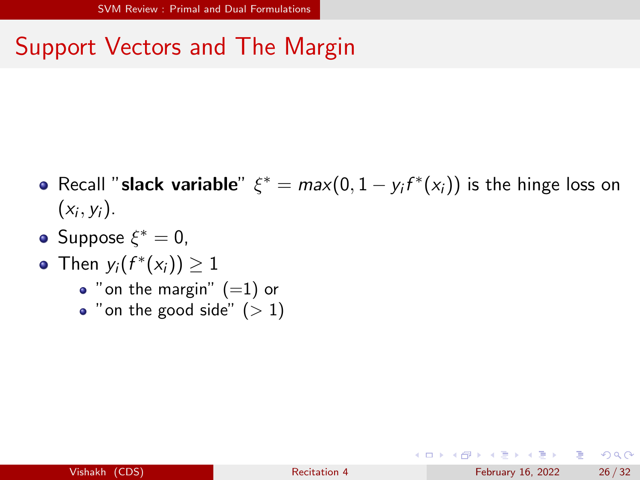## Support Vectors and The Margin

- Recall "**slack variable**"  $\xi^* = max(0, 1 y_i f^*(x_i))$  is the hinge loss on  $(x_i, y_i)$ .
- $\mathsf{Suppose}\; \xi^* = \mathsf{0},$
- Then  $y_i(f^*(x_i)) \geq 1$ 
	- $\bullet$  "on the margin"  $(=1)$  or
	- "on the good side"  $(> 1)$

 $QQ$ 

イロト イ押 トイヨ トイヨ トーヨ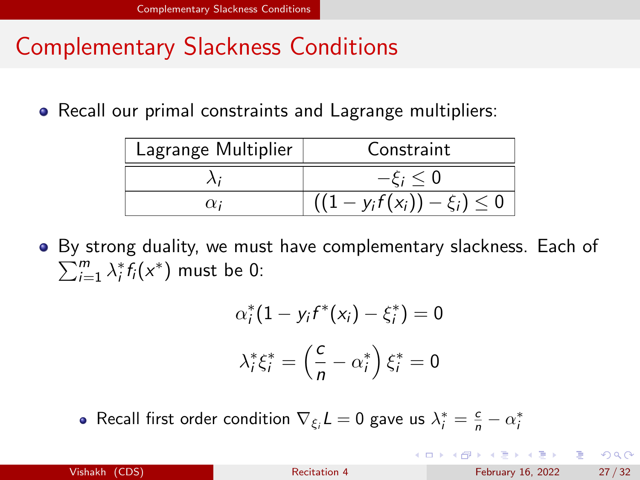## <span id="page-26-0"></span>Complementary Slackness Conditions

• Recall our primal constraints and Lagrange multipliers:

| Lagrange Multiplier | Constraint                         |
|---------------------|------------------------------------|
|                     | $-\xi_i < 0$                       |
| $\alpha$            | $(1 - y_i f(x_i)) - \xi_i) \leq 0$ |

By strong duality, we must have complementary slackness. Each of  $\sum_{i=1}^m \lambda_i^* f_i(x^*)$  must be 0:

$$
\alpha_i^*(1 - y_i f^*(x_i) - \xi_i^*) = 0
$$

$$
\lambda_i^* \xi_i^* = \left(\frac{c}{n} - \alpha_i^*\right) \xi_i^* = 0
$$

Recall first order condition  $\nabla_{\xi_i} L = 0$  gave us  $\lambda_i^* = \frac{c}{n} - \alpha_i^*$ 

| <b>Vishakh</b> |  | (CDS) |
|----------------|--|-------|
|                |  |       |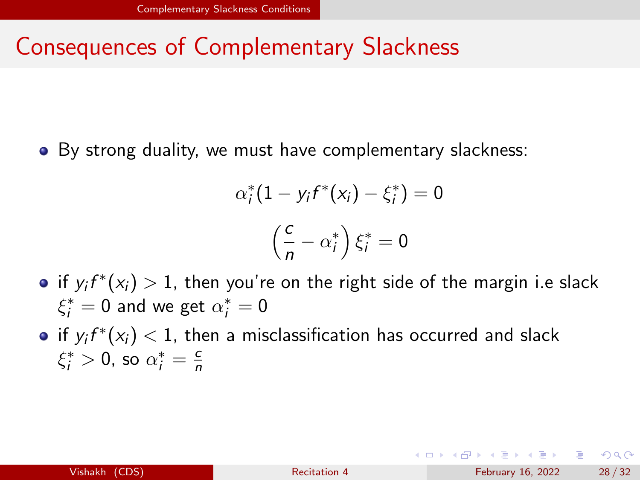#### <span id="page-27-0"></span>Consequences of Complementary Slackness

α

• By strong duality, we must have complementary slackness:

$$
x_i^*(1 - y_i f^*(x_i) - \xi_i^*) = 0
$$

$$
\left(\frac{c}{n} - \alpha_i^*\right) \xi_i^* = 0
$$

- if  $y_{i}f^{*}(x_{i})>1,$  then you're on the right side of the margin i.e slack  $\xi_i^* = 0$  and we get  $\alpha_i^* = 0$
- if  $y_{i}f^{*}(x_{i}) < 1$ , then a misclassification has occurred and slack  $\xi_i^* > 0$ , so  $\alpha_i^* = \frac{c}{n}$ n

 $\Omega$ 

K ロ ▶ K 個 ▶ K 경 ▶ K 경 ▶ │ 경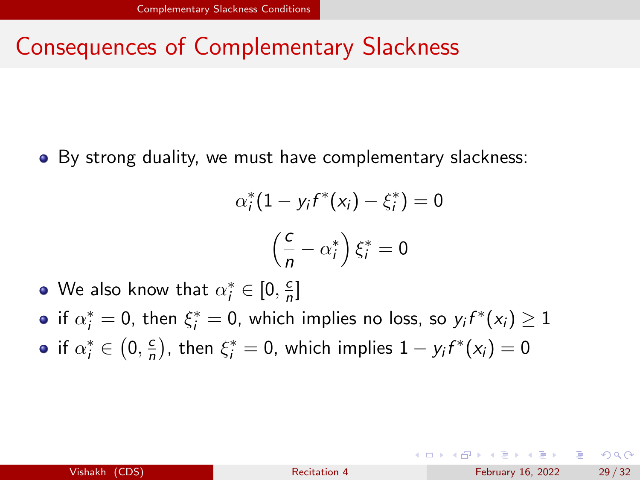#### Consequences of Complementary Slackness

• By strong duality, we must have complementary slackness:

$$
\alpha_i^*(1 - y_i f^*(x_i) - \xi_i^*) = 0
$$

$$
\left(\frac{c}{n} - \alpha_i^*\right) \xi_i^* = 0
$$

- We also know that  $\alpha^*_i \in [0, \frac{c}{n}]$  $\frac{c}{n}$ ]
- if  $\alpha_i^*=0$ , then  $\xi_i^*=0$ , which implies no loss, so  $y_if^*(x_i)\geq 1$
- if  $\alpha_i^* \in \left(0, \frac{c}{n}\right)$  $\frac{c}{n}$ ), then  $\xi_i^* = 0$ , which implies  $1 - y_i f^*(x_i) = 0$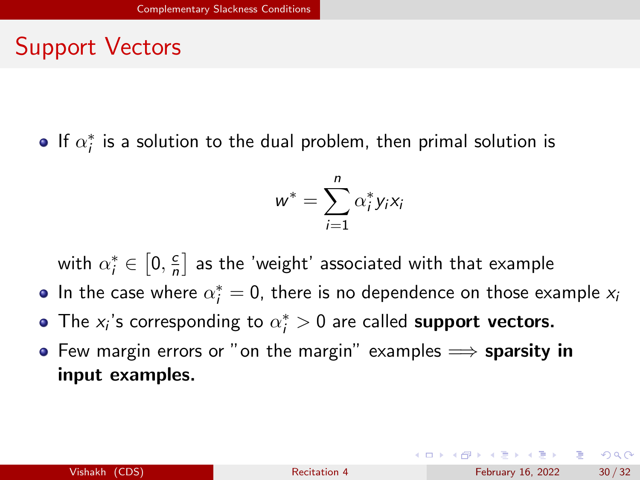## <span id="page-29-0"></span>Support Vectors

If  $\alpha_i^*$  is a solution to the dual problem, then primal solution is

$$
w^* = \sum_{i=1}^n \alpha_i^* y_i x_i
$$

with  $\alpha_i^* \in \left[0, \frac{c}{n}\right]$  $\frac{c}{n}$  as the 'weight' associated with that example

- In the case where  $\alpha_i^*=0$ , there is no dependence on those example  $x_i$
- The  $x_i$ 's corresponding to  $\alpha_i^* > 0$  are called support vectors.
- **•** Few margin errors or "on the margin" examples  $\implies$  sparsity in input examples.

イロト イ押 トイヨ トイヨ トーヨ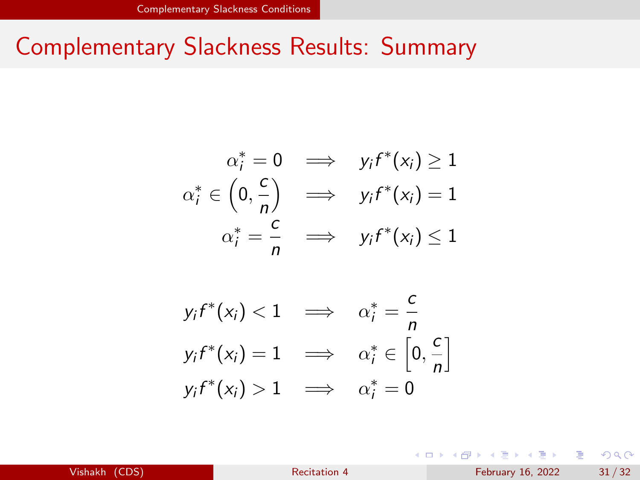#### Complementary Slackness Results: Summary

$$
\alpha_i^* = 0 \implies y_i f^*(x_i) \ge 1
$$
  

$$
\alpha_i^* \in \left(0, \frac{c}{n}\right) \implies y_i f^*(x_i) = 1
$$
  

$$
\alpha_i^* = \frac{c}{n} \implies y_i f^*(x_i) \le 1
$$

$$
y_i f^*(x_i) < 1 \quad \implies \quad \alpha_i^* = \frac{c}{n}
$$
\n
$$
y_i f^*(x_i) = 1 \quad \implies \quad \alpha_i^* \in \left[0, \frac{c}{n}\right]
$$
\n
$$
y_i f^*(x_i) > 1 \quad \implies \quad \alpha_i^* = 0
$$

イロメ イ部メ イヨメ イヨメー Vishakh (CDS) [Recitation 4](#page-0-0) Recitation 4 February 16, 2022 31/32

 $2990$ 

Ε